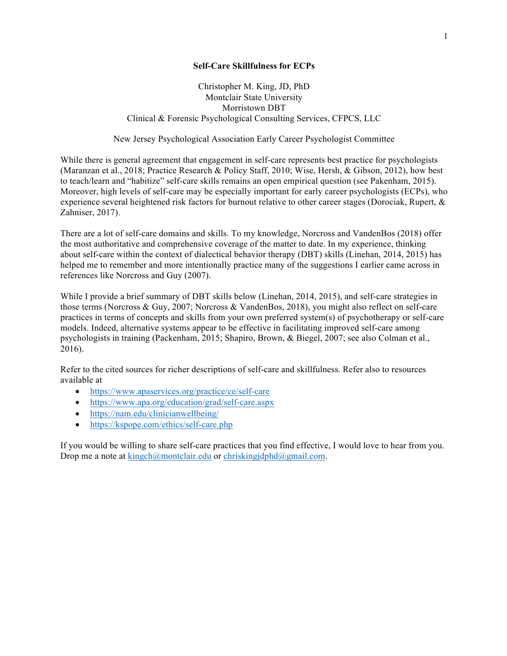# **Self-Care Skillfulness for ECPs**

# Christopher M. King, JD, PhD Montclair State University Morristown DBT Clinical & Forensic Psychological Consulting Services, CFPCS, LLC

New Jersey Psychological Association Early Career Psychologist Committee

While there is general agreement that engagement in self-care represents best practice for psychologists (Maranzan et al., 2018; Practice Research & Policy Staff, 2010; Wise, Hersh, & Gibson, 2012), how best to teach/learn and "habitize" self-care skills remains an open empirical question (see Pakenham, 2015). Moreover, high levels of self-care may be especially important for early career psychologists (ECPs), who experience several heightened risk factors for burnout relative to other career stages (Dorociak, Rupert, & Zahniser, 2017).

There are a lot of self-care domains and skills. To my knowledge, Norcross and VandenBos (2018) offer the most authoritative and comprehensive coverage of the matter to date. In my experience, thinking about self-care within the context of dialectical behavior therapy (DBT) skills (Linehan, 2014, 2015) has helped me to remember and more intentionally practice many of the suggestions I earlier came across in references like Norcross and Guy (2007).

While I provide a brief summary of DBT skills below (Linehan, 2014, 2015), and self-care strategies in those terms (Norcross & Guy, 2007; Norcross & VandenBos, 2018), you might also reflect on self-care practices in terms of concepts and skills from your own preferred system(s) of psychotherapy or self-care models. Indeed, alternative systems appear to be effective in facilitating improved self-care among psychologists in training (Packenham, 2015; Shapiro, Brown, & Biegel, 2007; see also Colman et al., 2016).

Refer to the cited sources for richer descriptions of self-care and skillfulness. Refer also to resources available at

- https://www.apaservices.org/practice/ce/self-care
- https://www.apa.org/education/grad/self-care.aspx
- https://nam.edu/clinicianwellbeing/
- https://kspope.com/ethics/self-care.php

If you would be willing to share self-care practices that you find effective, I would love to hear from you. Drop me a note at  $kingch@montclair.edu$  or chriskingjdphd $@gmail.com$ .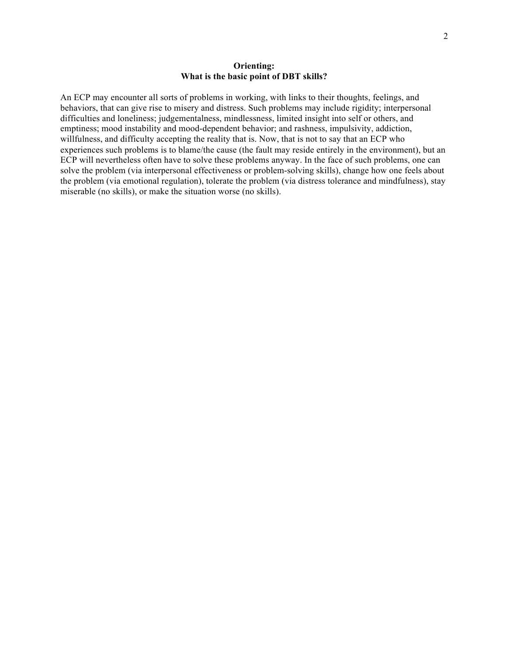# **Orienting: What is the basic point of DBT skills?**

An ECP may encounter all sorts of problems in working, with links to their thoughts, feelings, and behaviors, that can give rise to misery and distress. Such problems may include rigidity; interpersonal difficulties and loneliness; judgementalness, mindlessness, limited insight into self or others, and emptiness; mood instability and mood-dependent behavior; and rashness, impulsivity, addiction, willfulness, and difficulty accepting the reality that is. Now, that is not to say that an ECP who experiences such problems is to blame/the cause (the fault may reside entirely in the environment), but an ECP will nevertheless often have to solve these problems anyway. In the face of such problems, one can solve the problem (via interpersonal effectiveness or problem-solving skills), change how one feels about the problem (via emotional regulation), tolerate the problem (via distress tolerance and mindfulness), stay miserable (no skills), or make the situation worse (no skills).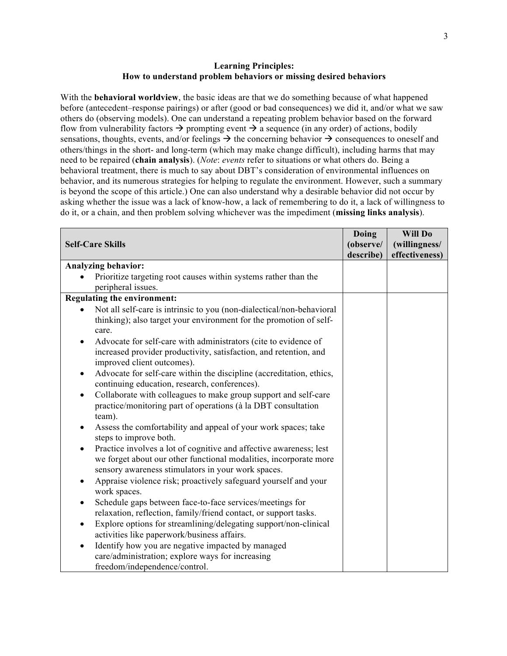# **Learning Principles: How to understand problem behaviors or missing desired behaviors**

With the **behavioral worldview**, the basic ideas are that we do something because of what happened before (antecedent–response pairings) or after (good or bad consequences) we did it, and/or what we saw others do (observing models). One can understand a repeating problem behavior based on the forward flow from vulnerability factors  $\rightarrow$  prompting event  $\rightarrow$  a sequence (in any order) of actions, bodily sensations, thoughts, events, and/or feelings  $\rightarrow$  the concerning behavior  $\rightarrow$  consequences to oneself and others/things in the short- and long-term (which may make change difficult), including harms that may need to be repaired (**chain analysis**). (*Note*: *events* refer to situations or what others do. Being a behavioral treatment, there is much to say about DBT's consideration of environmental influences on behavior, and its numerous strategies for helping to regulate the environment. However, such a summary is beyond the scope of this article.) One can also understand why a desirable behavior did not occur by asking whether the issue was a lack of know-how, a lack of remembering to do it, a lack of willingness to do it, or a chain, and then problem solving whichever was the impediment (**missing links analysis**).

|                                                                                                                                            | Doing     | Will Do        |
|--------------------------------------------------------------------------------------------------------------------------------------------|-----------|----------------|
| <b>Self-Care Skills</b>                                                                                                                    | (observe/ | (willingness/  |
|                                                                                                                                            | describe) | effectiveness) |
| <b>Analyzing behavior:</b>                                                                                                                 |           |                |
| Prioritize targeting root causes within systems rather than the                                                                            |           |                |
| peripheral issues.                                                                                                                         |           |                |
| <b>Regulating the environment:</b>                                                                                                         |           |                |
| Not all self-care is intrinsic to you (non-dialectical/non-behavioral                                                                      |           |                |
| thinking); also target your environment for the promotion of self-<br>care.                                                                |           |                |
| Advocate for self-care with administrators (cite to evidence of<br>$\bullet$                                                               |           |                |
| increased provider productivity, satisfaction, and retention, and<br>improved client outcomes).                                            |           |                |
| Advocate for self-care within the discipline (accreditation, ethics,<br>$\bullet$<br>continuing education, research, conferences).         |           |                |
| Collaborate with colleagues to make group support and self-care<br>practice/monitoring part of operations (à la DBT consultation<br>team). |           |                |
| Assess the comfortability and appeal of your work spaces; take<br>steps to improve both.                                                   |           |                |
| Practice involves a lot of cognitive and affective awareness; lest                                                                         |           |                |
| we forget about our other functional modalities, incorporate more<br>sensory awareness stimulators in your work spaces.                    |           |                |
| Appraise violence risk; proactively safeguard yourself and your<br>$\bullet$<br>work spaces.                                               |           |                |
| Schedule gaps between face-to-face services/meetings for<br>$\bullet$<br>relaxation, reflection, family/friend contact, or support tasks.  |           |                |
| Explore options for streamlining/delegating support/non-clinical<br>$\bullet$<br>activities like paperwork/business affairs.               |           |                |
| Identify how you are negative impacted by managed<br>$\bullet$                                                                             |           |                |
| care/administration; explore ways for increasing                                                                                           |           |                |
| freedom/independence/control.                                                                                                              |           |                |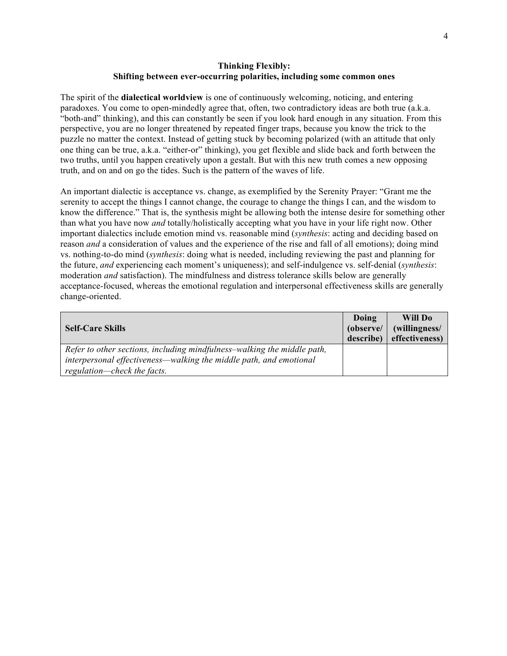# **Thinking Flexibly: Shifting between ever-occurring polarities, including some common ones**

The spirit of the **dialectical worldview** is one of continuously welcoming, noticing, and entering paradoxes. You come to open-mindedly agree that, often, two contradictory ideas are both true (a.k.a. "both-and" thinking), and this can constantly be seen if you look hard enough in any situation. From this perspective, you are no longer threatened by repeated finger traps, because you know the trick to the puzzle no matter the context. Instead of getting stuck by becoming polarized (with an attitude that only one thing can be true, a.k.a. "either-or" thinking), you get flexible and slide back and forth between the two truths, until you happen creatively upon a gestalt. But with this new truth comes a new opposing truth, and on and on go the tides. Such is the pattern of the waves of life.

An important dialectic is acceptance vs. change, as exemplified by the Serenity Prayer: "Grant me the serenity to accept the things I cannot change, the courage to change the things I can, and the wisdom to know the difference." That is, the synthesis might be allowing both the intense desire for something other than what you have now *and* totally/holistically accepting what you have in your life right now. Other important dialectics include emotion mind vs. reasonable mind (*synthesis*: acting and deciding based on reason *and* a consideration of values and the experience of the rise and fall of all emotions); doing mind vs. nothing-to-do mind (*synthesis*: doing what is needed, including reviewing the past and planning for the future, *and* experiencing each moment's uniqueness); and self-indulgence vs. self-denial (*synthesis*: moderation *and* satisfaction). The mindfulness and distress tolerance skills below are generally acceptance-focused, whereas the emotional regulation and interpersonal effectiveness skills are generally change-oriented.

| <b>Self-Care Skills</b>                                                 | Doing<br>(observe/<br>describe) | Will Do<br>(willingness/<br>effectiveness) |
|-------------------------------------------------------------------------|---------------------------------|--------------------------------------------|
| Refer to other sections, including mindfulness-walking the middle path, |                                 |                                            |
| interpersonal effectiveness—walking the middle path, and emotional      |                                 |                                            |
| regulation—check the facts.                                             |                                 |                                            |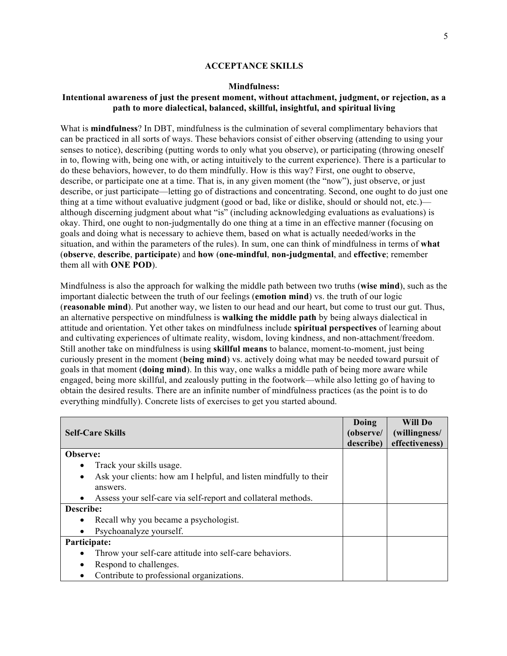### **ACCEPTANCE SKILLS**

#### **Mindfulness:**

# **Intentional awareness of just the present moment, without attachment, judgment, or rejection, as a path to more dialectical, balanced, skillful, insightful, and spiritual living**

What is **mindfulness**? In DBT, mindfulness is the culmination of several complimentary behaviors that can be practiced in all sorts of ways. These behaviors consist of either observing (attending to using your senses to notice), describing (putting words to only what you observe), or participating (throwing oneself in to, flowing with, being one with, or acting intuitively to the current experience). There is a particular to do these behaviors, however, to do them mindfully. How is this way? First, one ought to observe, describe, or participate one at a time. That is, in any given moment (the "now"), just observe, or just describe, or just participate—letting go of distractions and concentrating. Second, one ought to do just one thing at a time without evaluative judgment (good or bad, like or dislike, should or should not, etc.) although discerning judgment about what "is" (including acknowledging evaluations as evaluations) is okay. Third, one ought to non-judgmentally do one thing at a time in an effective manner (focusing on goals and doing what is necessary to achieve them, based on what is actually needed/works in the situation, and within the parameters of the rules). In sum, one can think of mindfulness in terms of **what** (**observe**, **describe**, **participate**) and **how** (**one-mindful**, **non-judgmental**, and **effective**; remember them all with **ONE POD**).

Mindfulness is also the approach for walking the middle path between two truths (**wise mind**), such as the important dialectic between the truth of our feelings (**emotion mind**) vs. the truth of our logic (**reasonable mind**). Put another way, we listen to our head and our heart, but come to trust our gut. Thus, an alternative perspective on mindfulness is **walking the middle path** by being always dialectical in attitude and orientation. Yet other takes on mindfulness include **spiritual perspectives** of learning about and cultivating experiences of ultimate reality, wisdom, loving kindness, and non-attachment/freedom. Still another take on mindfulness is using **skillful means** to balance, moment-to-moment, just being curiously present in the moment (**being mind**) vs. actively doing what may be needed toward pursuit of goals in that moment (**doing mind**). In this way, one walks a middle path of being more aware while engaged, being more skillful, and zealously putting in the footwork—while also letting go of having to obtain the desired results. There are an infinite number of mindfulness practices (as the point is to do everything mindfully). Concrete lists of exercises to get you started abound.

| <b>Self-Care Skills</b>                                                        | Doing<br>(observe/ | Will Do<br>(willingness/ |
|--------------------------------------------------------------------------------|--------------------|--------------------------|
|                                                                                | describe)          | effectiveness)           |
| Observe:                                                                       |                    |                          |
| Track your skills usage.                                                       |                    |                          |
| Ask your clients: how am I helpful, and listen mindfully to their<br>$\bullet$ |                    |                          |
| answers.                                                                       |                    |                          |
| Assess your self-care via self-report and collateral methods.                  |                    |                          |
| Describe:                                                                      |                    |                          |
| Recall why you became a psychologist.                                          |                    |                          |
| Psychoanalyze yourself.                                                        |                    |                          |
| Participate:                                                                   |                    |                          |
| Throw your self-care attitude into self-care behaviors.                        |                    |                          |
| Respond to challenges.                                                         |                    |                          |
| Contribute to professional organizations.                                      |                    |                          |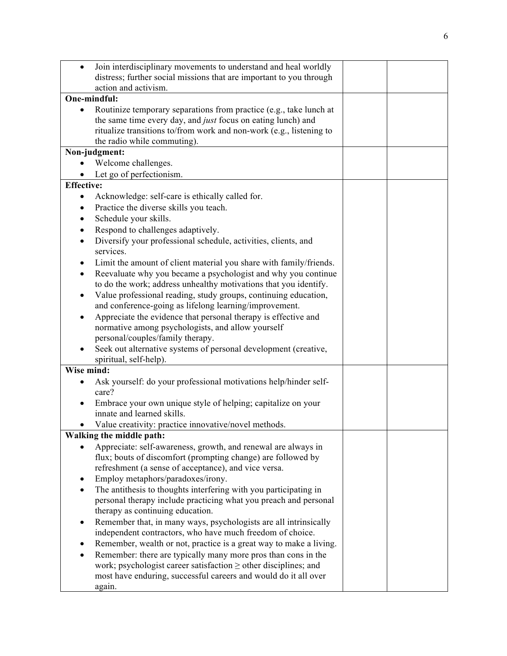| $\bullet$         | Join interdisciplinary movements to understand and heal worldly                                                                    |  |
|-------------------|------------------------------------------------------------------------------------------------------------------------------------|--|
|                   | distress; further social missions that are important to you through                                                                |  |
|                   | action and activism.<br>One-mindful:                                                                                               |  |
|                   |                                                                                                                                    |  |
|                   | Routinize temporary separations from practice (e.g., take lunch at<br>the same time every day, and just focus on eating lunch) and |  |
|                   | ritualize transitions to/from work and non-work (e.g., listening to                                                                |  |
|                   | the radio while commuting).                                                                                                        |  |
|                   | Non-judgment:                                                                                                                      |  |
|                   | Welcome challenges.                                                                                                                |  |
|                   | Let go of perfectionism.                                                                                                           |  |
| <b>Effective:</b> |                                                                                                                                    |  |
| $\bullet$         | Acknowledge: self-care is ethically called for.                                                                                    |  |
|                   | Practice the diverse skills you teach.                                                                                             |  |
| $\bullet$         | Schedule your skills.                                                                                                              |  |
| $\bullet$         | Respond to challenges adaptively.                                                                                                  |  |
| $\bullet$         | Diversify your professional schedule, activities, clients, and                                                                     |  |
|                   | services.                                                                                                                          |  |
|                   | Limit the amount of client material you share with family/friends.                                                                 |  |
|                   | Reevaluate why you became a psychologist and why you continue                                                                      |  |
|                   | to do the work; address unhealthy motivations that you identify.                                                                   |  |
| $\bullet$         | Value professional reading, study groups, continuing education,                                                                    |  |
|                   | and conference-going as lifelong learning/improvement.                                                                             |  |
|                   | Appreciate the evidence that personal therapy is effective and                                                                     |  |
|                   | normative among psychologists, and allow yourself                                                                                  |  |
|                   | personal/couples/family therapy.                                                                                                   |  |
|                   | Seek out alternative systems of personal development (creative,                                                                    |  |
|                   | spiritual, self-help).                                                                                                             |  |
| Wise mind:        |                                                                                                                                    |  |
| $\bullet$         | Ask yourself: do your professional motivations help/hinder self-<br>care?                                                          |  |
|                   | Embrace your own unique style of helping; capitalize on your                                                                       |  |
|                   | innate and learned skills.                                                                                                         |  |
| ٠                 | Value creativity: practice innovative/novel methods.                                                                               |  |
|                   | Walking the middle path:                                                                                                           |  |
|                   | Appreciate: self-awareness, growth, and renewal are always in                                                                      |  |
|                   | flux; bouts of discomfort (prompting change) are followed by                                                                       |  |
|                   | refreshment (a sense of acceptance), and vice versa.                                                                               |  |
| $\bullet$         | Employ metaphors/paradoxes/irony.                                                                                                  |  |
| $\bullet$         | The antithesis to thoughts interfering with you participating in                                                                   |  |
|                   | personal therapy include practicing what you preach and personal                                                                   |  |
|                   | therapy as continuing education.                                                                                                   |  |
| $\bullet$         | Remember that, in many ways, psychologists are all intrinsically                                                                   |  |
|                   | independent contractors, who have much freedom of choice.                                                                          |  |
| $\bullet$         | Remember, wealth or not, practice is a great way to make a living.                                                                 |  |
|                   | Remember: there are typically many more pros than cons in the                                                                      |  |
|                   | work; psychologist career satisfaction $\geq$ other disciplines; and                                                               |  |
|                   | most have enduring, successful careers and would do it all over                                                                    |  |
|                   | again.                                                                                                                             |  |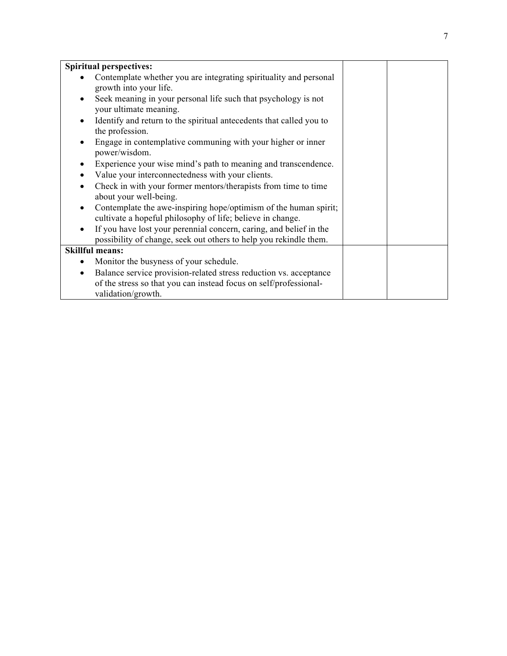|           | <b>Spiritual perspectives:</b>                                                                                                          |  |
|-----------|-----------------------------------------------------------------------------------------------------------------------------------------|--|
|           | Contemplate whether you are integrating spirituality and personal<br>growth into your life.                                             |  |
| $\bullet$ | Seek meaning in your personal life such that psychology is not<br>your ultimate meaning.                                                |  |
|           | Identify and return to the spiritual antecedents that called you to<br>the profession.                                                  |  |
|           | Engage in contemplative communing with your higher or inner<br>power/wisdom.                                                            |  |
|           | Experience your wise mind's path to meaning and transcendence.                                                                          |  |
|           | Value your interconnectedness with your clients.                                                                                        |  |
|           | Check in with your former mentors/therapists from time to time<br>about your well-being.                                                |  |
|           | Contemplate the awe-inspiring hope/optimism of the human spirit;<br>cultivate a hopeful philosophy of life; believe in change.          |  |
| ٠         | If you have lost your perennial concern, caring, and belief in the<br>possibility of change, seek out others to help you rekindle them. |  |
|           | <b>Skillful means:</b>                                                                                                                  |  |
|           | Monitor the busyness of your schedule.                                                                                                  |  |
| $\bullet$ | Balance service provision-related stress reduction vs. acceptance                                                                       |  |
|           | of the stress so that you can instead focus on self/professional-<br>validation/growth.                                                 |  |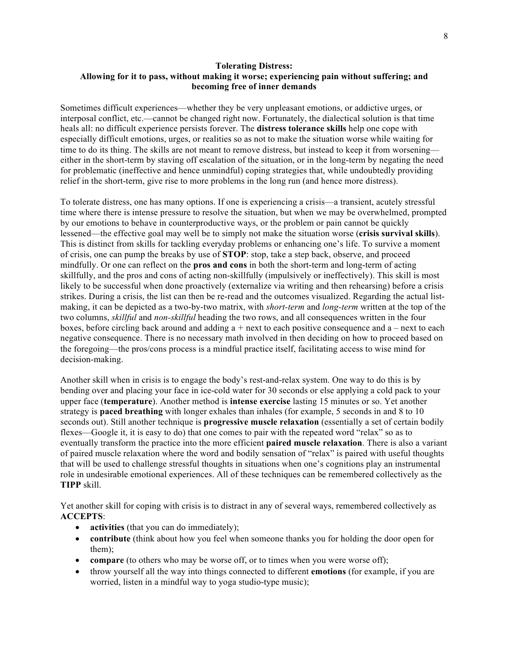# **Tolerating Distress: Allowing for it to pass, without making it worse; experiencing pain without suffering; and becoming free of inner demands**

Sometimes difficult experiences—whether they be very unpleasant emotions, or addictive urges, or interposal conflict, etc.—cannot be changed right now. Fortunately, the dialectical solution is that time heals all: no difficult experience persists forever. The **distress tolerance skills** help one cope with especially difficult emotions, urges, or realities so as not to make the situation worse while waiting for time to do its thing. The skills are not meant to remove distress, but instead to keep it from worsening either in the short-term by staving off escalation of the situation, or in the long-term by negating the need for problematic (ineffective and hence unmindful) coping strategies that, while undoubtedly providing relief in the short-term, give rise to more problems in the long run (and hence more distress).

To tolerate distress, one has many options. If one is experiencing a crisis—a transient, acutely stressful time where there is intense pressure to resolve the situation, but when we may be overwhelmed, prompted by our emotions to behave in counterproductive ways, or the problem or pain cannot be quickly lessened—the effective goal may well be to simply not make the situation worse (**crisis survival skills**). This is distinct from skills for tackling everyday problems or enhancing one's life. To survive a moment of crisis, one can pump the breaks by use of **STOP**: stop, take a step back, observe, and proceed mindfully. Or one can reflect on the **pros and cons** in both the short-term and long-term of acting skillfully, and the pros and cons of acting non-skillfully (impulsively or ineffectively). This skill is most likely to be successful when done proactively (externalize via writing and then rehearsing) before a crisis strikes. During a crisis, the list can then be re-read and the outcomes visualized. Regarding the actual listmaking, it can be depicted as a two-by-two matrix, with *short-term* and *long-term* written at the top of the two columns, *skillful* and *non-skillful* heading the two rows, and all consequences written in the four boxes, before circling back around and adding a *+* next to each positive consequence and a *–* next to each negative consequence. There is no necessary math involved in then deciding on how to proceed based on the foregoing—the pros/cons process is a mindful practice itself, facilitating access to wise mind for decision-making.

Another skill when in crisis is to engage the body's rest-and-relax system. One way to do this is by bending over and placing your face in ice-cold water for 30 seconds or else applying a cold pack to your upper face (**temperature**). Another method is **intense exercise** lasting 15 minutes or so. Yet another strategy is **paced breathing** with longer exhales than inhales (for example, 5 seconds in and 8 to 10 seconds out). Still another technique is **progressive muscle relaxation** (essentially a set of certain bodily flexes—Google it, it is easy to do) that one comes to pair with the repeated word "relax" so as to eventually transform the practice into the more efficient **paired muscle relaxation**. There is also a variant of paired muscle relaxation where the word and bodily sensation of "relax" is paired with useful thoughts that will be used to challenge stressful thoughts in situations when one's cognitions play an instrumental role in undesirable emotional experiences. All of these techniques can be remembered collectively as the **TIPP** skill.

Yet another skill for coping with crisis is to distract in any of several ways, remembered collectively as **ACCEPTS**:

- **activities** (that you can do immediately);
- **contribute** (think about how you feel when someone thanks you for holding the door open for them);
- **compare** (to others who may be worse off, or to times when you were worse off);
- throw yourself all the way into things connected to different **emotions** (for example, if you are worried, listen in a mindful way to yoga studio-type music);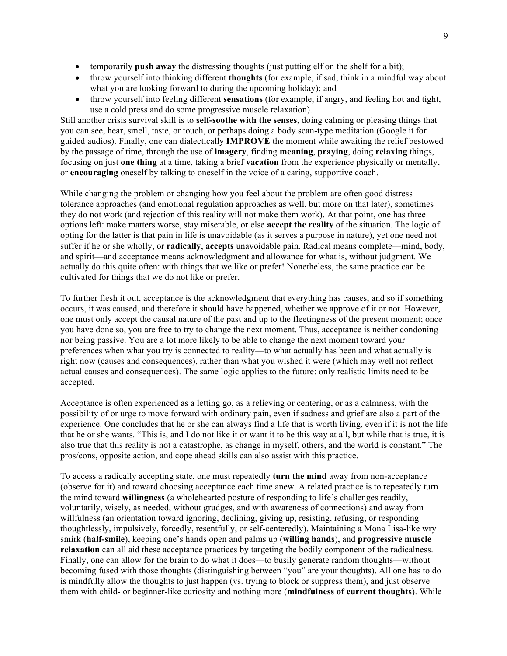- temporarily **push away** the distressing thoughts (just putting elf on the shelf for a bit);
- throw yourself into thinking different **thoughts** (for example, if sad, think in a mindful way about what you are looking forward to during the upcoming holiday); and
- throw yourself into feeling different **sensations** (for example, if angry, and feeling hot and tight, use a cold press and do some progressive muscle relaxation).

Still another crisis survival skill is to **self-soothe with the senses**, doing calming or pleasing things that you can see, hear, smell, taste, or touch, or perhaps doing a body scan-type meditation (Google it for guided audios). Finally, one can dialectically **IMPROVE** the moment while awaiting the relief bestowed by the passage of time, through the use of **imagery**, finding **meaning**, **praying**, doing **relaxing** things, focusing on just **one thing** at a time, taking a brief **vacation** from the experience physically or mentally, or **encouraging** oneself by talking to oneself in the voice of a caring, supportive coach.

While changing the problem or changing how you feel about the problem are often good distress tolerance approaches (and emotional regulation approaches as well, but more on that later), sometimes they do not work (and rejection of this reality will not make them work). At that point, one has three options left: make matters worse, stay miserable, or else **accept the reality** of the situation. The logic of opting for the latter is that pain in life is unavoidable (as it serves a purpose in nature), yet one need not suffer if he or she wholly, or **radically**, **accepts** unavoidable pain. Radical means complete—mind, body, and spirit—and acceptance means acknowledgment and allowance for what is, without judgment. We actually do this quite often: with things that we like or prefer! Nonetheless, the same practice can be cultivated for things that we do not like or prefer.

To further flesh it out, acceptance is the acknowledgment that everything has causes, and so if something occurs, it was caused, and therefore it should have happened, whether we approve of it or not. However, one must only accept the causal nature of the past and up to the fleetingness of the present moment; once you have done so, you are free to try to change the next moment. Thus, acceptance is neither condoning nor being passive. You are a lot more likely to be able to change the next moment toward your preferences when what you try is connected to reality—to what actually has been and what actually is right now (causes and consequences), rather than what you wished it were (which may well not reflect actual causes and consequences). The same logic applies to the future: only realistic limits need to be accepted.

Acceptance is often experienced as a letting go, as a relieving or centering, or as a calmness, with the possibility of or urge to move forward with ordinary pain, even if sadness and grief are also a part of the experience. One concludes that he or she can always find a life that is worth living, even if it is not the life that he or she wants. "This is, and I do not like it or want it to be this way at all, but while that is true, it is also true that this reality is not a catastrophe, as change in myself, others, and the world is constant." The pros/cons, opposite action, and cope ahead skills can also assist with this practice.

To access a radically accepting state, one must repeatedly **turn the mind** away from non-acceptance (observe for it) and toward choosing acceptance each time anew. A related practice is to repeatedly turn the mind toward **willingness** (a wholehearted posture of responding to life's challenges readily, voluntarily, wisely, as needed, without grudges, and with awareness of connections) and away from willfulness (an orientation toward ignoring, declining, giving up, resisting, refusing, or responding thoughtlessly, impulsively, forcedly, resentfully, or self-centeredly). Maintaining a Mona Lisa-like wry smirk (**half-smile**), keeping one's hands open and palms up (**willing hands**), and **progressive muscle relaxation** can all aid these acceptance practices by targeting the bodily component of the radicalness. Finally, one can allow for the brain to do what it does—to busily generate random thoughts—without becoming fused with those thoughts (distinguishing between "you" are your thoughts). All one has to do is mindfully allow the thoughts to just happen (vs. trying to block or suppress them), and just observe them with child- or beginner-like curiosity and nothing more (**mindfulness of current thoughts**). While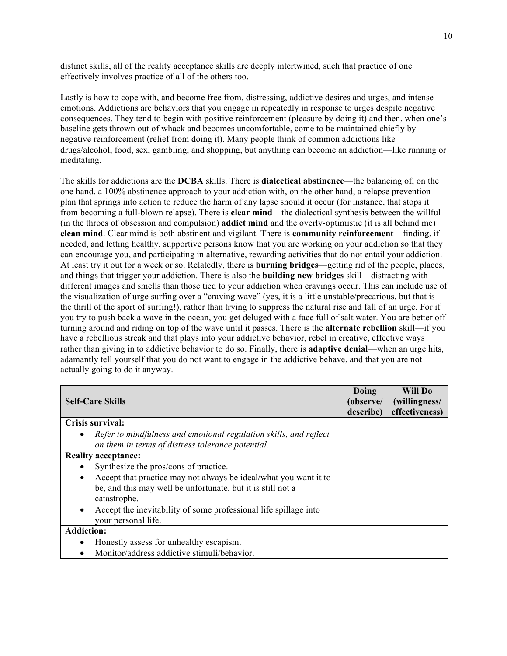distinct skills, all of the reality acceptance skills are deeply intertwined, such that practice of one effectively involves practice of all of the others too.

Lastly is how to cope with, and become free from, distressing, addictive desires and urges, and intense emotions. Addictions are behaviors that you engage in repeatedly in response to urges despite negative consequences. They tend to begin with positive reinforcement (pleasure by doing it) and then, when one's baseline gets thrown out of whack and becomes uncomfortable, come to be maintained chiefly by negative reinforcement (relief from doing it). Many people think of common addictions like drugs/alcohol, food, sex, gambling, and shopping, but anything can become an addiction—like running or meditating.

The skills for addictions are the **DCBA** skills. There is **dialectical abstinence**—the balancing of, on the one hand, a 100% abstinence approach to your addiction with, on the other hand, a relapse prevention plan that springs into action to reduce the harm of any lapse should it occur (for instance, that stops it from becoming a full-blown relapse). There is **clear mind**—the dialectical synthesis between the willful (in the throes of obsession and compulsion) **addict mind** and the overly-optimistic (it is all behind me) **clean mind**. Clear mind is both abstinent and vigilant. There is **community reinforcement**—finding, if needed, and letting healthy, supportive persons know that you are working on your addiction so that they can encourage you, and participating in alternative, rewarding activities that do not entail your addiction. At least try it out for a week or so. Relatedly, there is **burning bridges**—getting rid of the people, places, and things that trigger your addiction. There is also the **building new bridges** skill—distracting with different images and smells than those tied to your addiction when cravings occur. This can include use of the visualization of urge surfing over a "craving wave" (yes, it is a little unstable/precarious, but that is the thrill of the sport of surfing!), rather than trying to suppress the natural rise and fall of an urge. For if you try to push back a wave in the ocean, you get deluged with a face full of salt water. You are better off turning around and riding on top of the wave until it passes. There is the **alternate rebellion** skill—if you have a rebellious streak and that plays into your addictive behavior, rebel in creative, effective ways rather than giving in to addictive behavior to do so. Finally, there is **adaptive denial**—when an urge hits, adamantly tell yourself that you do not want to engage in the addictive behave, and that you are not actually going to do it anyway.

| <b>Self-Care Skills</b>                                                     | Doing<br>(observe/<br>describe) | Will Do<br>(willingness/<br>effectiveness) |
|-----------------------------------------------------------------------------|---------------------------------|--------------------------------------------|
| Crisis survival:                                                            |                                 |                                            |
| Refer to mindfulness and emotional regulation skills, and reflect           |                                 |                                            |
| on them in terms of distress tolerance potential.                           |                                 |                                            |
| <b>Reality acceptance:</b>                                                  |                                 |                                            |
| Synthesize the pros/cons of practice.                                       |                                 |                                            |
| Accept that practice may not always be ideal/what you want it to<br>٠       |                                 |                                            |
| be, and this may well be unfortunate, but it is still not a<br>catastrophe. |                                 |                                            |
| Accept the inevitability of some professional life spillage into<br>٠       |                                 |                                            |
| your personal life.                                                         |                                 |                                            |
| <b>Addiction:</b>                                                           |                                 |                                            |
| Honestly assess for unhealthy escapism.                                     |                                 |                                            |
| Monitor/address addictive stimuli/behavior.                                 |                                 |                                            |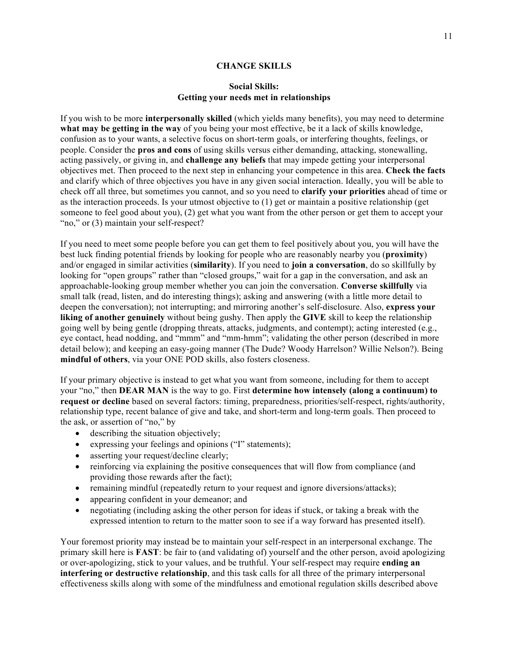### **CHANGE SKILLS**

### **Social Skills: Getting your needs met in relationships**

If you wish to be more **interpersonally skilled** (which yields many benefits), you may need to determine **what may be getting in the way** of you being your most effective, be it a lack of skills knowledge, confusion as to your wants, a selective focus on short-term goals, or interfering thoughts, feelings, or people. Consider the **pros and cons** of using skills versus either demanding, attacking, stonewalling, acting passively, or giving in, and **challenge any beliefs** that may impede getting your interpersonal objectives met. Then proceed to the next step in enhancing your competence in this area. **Check the facts** and clarify which of three objectives you have in any given social interaction. Ideally, you will be able to check off all three, but sometimes you cannot, and so you need to **clarify your priorities** ahead of time or as the interaction proceeds. Is your utmost objective to (1) get or maintain a positive relationship (get someone to feel good about you), (2) get what you want from the other person or get them to accept your "no," or (3) maintain your self-respect?

If you need to meet some people before you can get them to feel positively about you, you will have the best luck finding potential friends by looking for people who are reasonably nearby you (**proximity**) and/or engaged in similar activities (**similarity**). If you need to **join a conversation**, do so skillfully by looking for "open groups" rather than "closed groups," wait for a gap in the conversation, and ask an approachable-looking group member whether you can join the conversation. **Converse skillfully** via small talk (read, listen, and do interesting things); asking and answering (with a little more detail to deepen the conversation); not interrupting; and mirroring another's self-disclosure. Also, **express your liking of another genuinely** without being gushy. Then apply the **GIVE** skill to keep the relationship going well by being gentle (dropping threats, attacks, judgments, and contempt); acting interested (e.g., eye contact, head nodding, and "mmm" and "mm-hmm"; validating the other person (described in more detail below); and keeping an easy-going manner (The Dude? Woody Harrelson? Willie Nelson?). Being **mindful of others**, via your ONE POD skills, also fosters closeness.

If your primary objective is instead to get what you want from someone, including for them to accept your "no," then **DEAR MAN** is the way to go. First **determine how intensely (along a continuum) to request or decline** based on several factors: timing, preparedness, priorities/self-respect, rights/authority, relationship type, recent balance of give and take, and short-term and long-term goals. Then proceed to the ask, or assertion of "no," by

- describing the situation objectively;
- expressing your feelings and opinions ("I" statements);
- asserting your request/decline clearly;
- reinforcing via explaining the positive consequences that will flow from compliance (and providing those rewards after the fact);
- remaining mindful (repeatedly return to your request and ignore diversions/attacks);
- appearing confident in your demeanor; and
- negotiating (including asking the other person for ideas if stuck, or taking a break with the expressed intention to return to the matter soon to see if a way forward has presented itself).

Your foremost priority may instead be to maintain your self-respect in an interpersonal exchange. The primary skill here is **FAST**: be fair to (and validating of) yourself and the other person, avoid apologizing or over-apologizing, stick to your values, and be truthful. Your self-respect may require **ending an interfering or destructive relationship**, and this task calls for all three of the primary interpersonal effectiveness skills along with some of the mindfulness and emotional regulation skills described above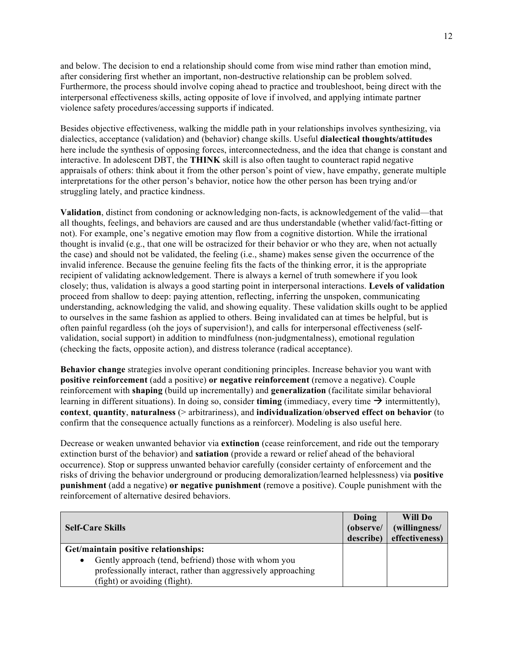and below. The decision to end a relationship should come from wise mind rather than emotion mind, after considering first whether an important, non-destructive relationship can be problem solved. Furthermore, the process should involve coping ahead to practice and troubleshoot, being direct with the interpersonal effectiveness skills, acting opposite of love if involved, and applying intimate partner violence safety procedures/accessing supports if indicated.

Besides objective effectiveness, walking the middle path in your relationships involves synthesizing, via dialectics, acceptance (validation) and (behavior) change skills. Useful **dialectical thoughts/attitudes** here include the synthesis of opposing forces, interconnectedness, and the idea that change is constant and interactive. In adolescent DBT, the **THINK** skill is also often taught to counteract rapid negative appraisals of others: think about it from the other person's point of view, have empathy, generate multiple interpretations for the other person's behavior, notice how the other person has been trying and/or struggling lately, and practice kindness.

**Validation**, distinct from condoning or acknowledging non-facts, is acknowledgement of the valid—that all thoughts, feelings, and behaviors are caused and are thus understandable (whether valid/fact-fitting or not). For example, one's negative emotion may flow from a cognitive distortion. While the irrational thought is invalid (e.g., that one will be ostracized for their behavior or who they are, when not actually the case) and should not be validated, the feeling (i.e., shame) makes sense given the occurrence of the invalid inference. Because the genuine feeling fits the facts of the thinking error, it is the appropriate recipient of validating acknowledgement. There is always a kernel of truth somewhere if you look closely; thus, validation is always a good starting point in interpersonal interactions. **Levels of validation** proceed from shallow to deep: paying attention, reflecting, inferring the unspoken, communicating understanding, acknowledging the valid, and showing equality. These validation skills ought to be applied to ourselves in the same fashion as applied to others. Being invalidated can at times be helpful, but is often painful regardless (oh the joys of supervision!), and calls for interpersonal effectiveness (selfvalidation, social support) in addition to mindfulness (non-judgmentalness), emotional regulation (checking the facts, opposite action), and distress tolerance (radical acceptance).

**Behavior change** strategies involve operant conditioning principles. Increase behavior you want with **positive reinforcement** (add a positive) **or negative reinforcement** (remove a negative). Couple reinforcement with **shaping** (build up incrementally) and **generalization** (facilitate similar behavioral learning in different situations). In doing so, consider **timing** (immediacy, every time  $\rightarrow$  intermittently), **context**, **quantity**, **naturalness** (> arbitrariness), and **individualization**/**observed effect on behavior** (to confirm that the consequence actually functions as a reinforcer). Modeling is also useful here.

Decrease or weaken unwanted behavior via **extinction** (cease reinforcement, and ride out the temporary extinction burst of the behavior) and **satiation** (provide a reward or relief ahead of the behavioral occurrence). Stop or suppress unwanted behavior carefully (consider certainty of enforcement and the risks of driving the behavior underground or producing demoralization/learned helplessness) via **positive punishment** (add a negative) **or negative punishment** (remove a positive). Couple punishment with the reinforcement of alternative desired behaviors.

| <b>Self-Care Skills</b>                                           | Doing<br>(observe/<br>describe) | Will Do<br>(willingness/<br>effectiveness) |
|-------------------------------------------------------------------|---------------------------------|--------------------------------------------|
| Get/maintain positive relationships:                              |                                 |                                            |
| Gently approach (tend, befriend) those with whom you<br>$\bullet$ |                                 |                                            |
| professionally interact, rather than aggressively approaching     |                                 |                                            |
| (fight) or avoiding (flight).                                     |                                 |                                            |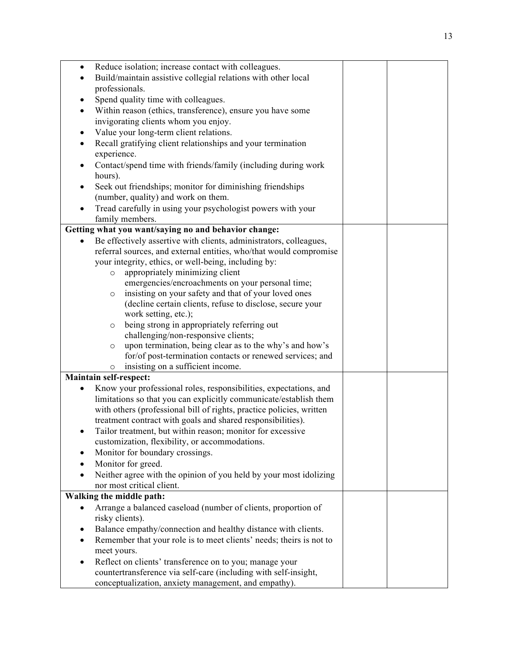| $\bullet$ | Reduce isolation; increase contact with colleagues.                  |  |
|-----------|----------------------------------------------------------------------|--|
| $\bullet$ | Build/maintain assistive collegial relations with other local        |  |
|           | professionals.                                                       |  |
| $\bullet$ | Spend quality time with colleagues.                                  |  |
|           | Within reason (ethics, transference), ensure you have some           |  |
|           | invigorating clients whom you enjoy.                                 |  |
| ٠         | Value your long-term client relations.                               |  |
| $\bullet$ | Recall gratifying client relationships and your termination          |  |
|           | experience.                                                          |  |
|           |                                                                      |  |
|           | Contact/spend time with friends/family (including during work        |  |
|           | hours).                                                              |  |
| ٠         | Seek out friendships; monitor for diminishing friendships            |  |
|           | (number, quality) and work on them.                                  |  |
|           | Tread carefully in using your psychologist powers with your          |  |
|           | family members.                                                      |  |
|           | Getting what you want/saying no and behavior change:                 |  |
| $\bullet$ | Be effectively assertive with clients, administrators, colleagues,   |  |
|           | referral sources, and external entities, who/that would compromise   |  |
|           | your integrity, ethics, or well-being, including by:                 |  |
|           | appropriately minimizing client<br>$\circ$                           |  |
|           | emergencies/encroachments on your personal time;                     |  |
|           | insisting on your safety and that of your loved ones<br>$\circ$      |  |
|           | (decline certain clients, refuse to disclose, secure your            |  |
|           | work setting, etc.);                                                 |  |
|           | being strong in appropriately referring out<br>$\circ$               |  |
|           | challenging/non-responsive clients;                                  |  |
|           | upon termination, being clear as to the why's and how's<br>$\circ$   |  |
|           | for/of post-termination contacts or renewed services; and            |  |
|           | insisting on a sufficient income.<br>$\circ$                         |  |
|           | Maintain self-respect:                                               |  |
|           | Know your professional roles, responsibilities, expectations, and    |  |
|           | limitations so that you can explicitly communicate/establish them    |  |
|           | with others (professional bill of rights, practice policies, written |  |
|           | treatment contract with goals and shared responsibilities).          |  |
|           |                                                                      |  |
|           | Tailor treatment, but within reason; monitor for excessive           |  |
|           | customization, flexibility, or accommodations.                       |  |
| $\bullet$ | Monitor for boundary crossings.                                      |  |
|           | Monitor for greed.                                                   |  |
|           | Neither agree with the opinion of you held by your most idolizing    |  |
|           | nor most critical client.                                            |  |
|           | Walking the middle path:                                             |  |
|           | Arrange a balanced caseload (number of clients, proportion of        |  |
|           | risky clients).                                                      |  |
| $\bullet$ | Balance empathy/connection and healthy distance with clients.        |  |
| $\bullet$ | Remember that your role is to meet clients' needs; theirs is not to  |  |
|           | meet yours.                                                          |  |
|           | Reflect on clients' transference on to you; manage your              |  |
|           | countertransference via self-care (including with self-insight,      |  |
|           | conceptualization, anxiety management, and empathy).                 |  |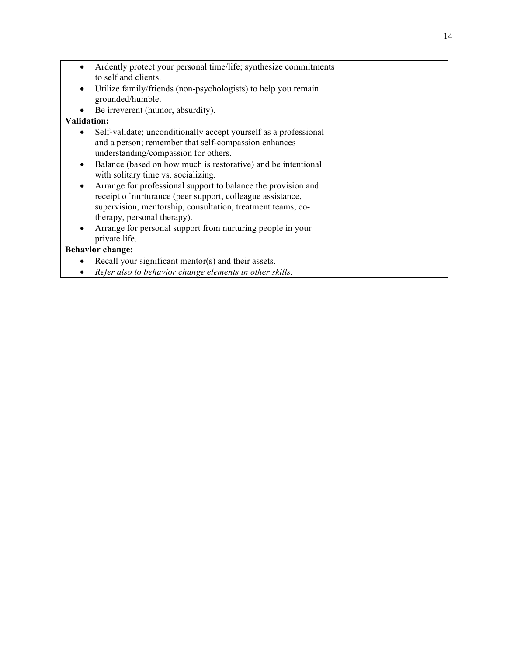|                    | Ardently protect your personal time/life; synthesize commitments |  |
|--------------------|------------------------------------------------------------------|--|
|                    | to self and clients.                                             |  |
| $\bullet$          | Utilize family/friends (non-psychologists) to help you remain    |  |
|                    | grounded/humble.                                                 |  |
|                    | Be irreverent (humor, absurdity).                                |  |
| <b>Validation:</b> |                                                                  |  |
|                    | Self-validate; unconditionally accept yourself as a professional |  |
|                    | and a person; remember that self-compassion enhances             |  |
|                    | understanding/compassion for others.                             |  |
|                    | Balance (based on how much is restorative) and be intentional    |  |
|                    | with solitary time vs. socializing.                              |  |
|                    | Arrange for professional support to balance the provision and    |  |
|                    | receipt of nurturance (peer support, colleague assistance,       |  |
|                    | supervision, mentorship, consultation, treatment teams, co-      |  |
|                    | therapy, personal therapy).                                      |  |
|                    | Arrange for personal support from nurturing people in your       |  |
|                    | private life.                                                    |  |
|                    | <b>Behavior change:</b>                                          |  |
|                    | Recall your significant mentor(s) and their assets.              |  |
|                    | Refer also to behavior change elements in other skills.          |  |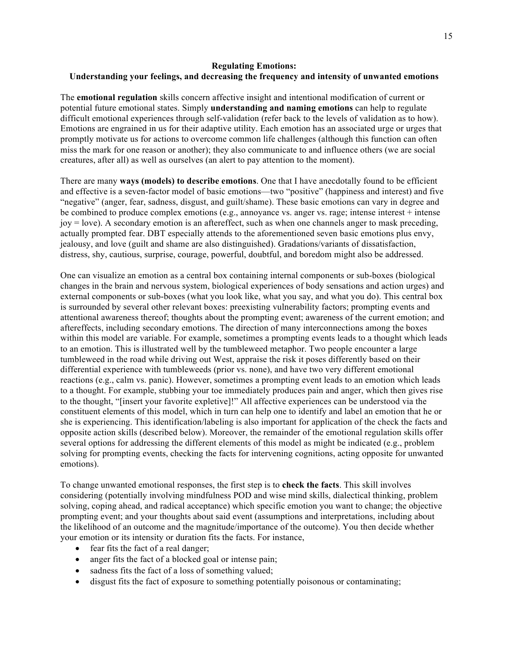# **Regulating Emotions: Understanding your feelings, and decreasing the frequency and intensity of unwanted emotions**

The **emotional regulation** skills concern affective insight and intentional modification of current or potential future emotional states. Simply **understanding and naming emotions** can help to regulate difficult emotional experiences through self-validation (refer back to the levels of validation as to how). Emotions are engrained in us for their adaptive utility. Each emotion has an associated urge or urges that promptly motivate us for actions to overcome common life challenges (although this function can often miss the mark for one reason or another); they also communicate to and influence others (we are social creatures, after all) as well as ourselves (an alert to pay attention to the moment).

There are many **ways (models) to describe emotions**. One that I have anecdotally found to be efficient and effective is a seven-factor model of basic emotions—two "positive" (happiness and interest) and five "negative" (anger, fear, sadness, disgust, and guilt/shame). These basic emotions can vary in degree and be combined to produce complex emotions (e.g., annoyance vs. anger vs. rage; intense interest + intense  $jov = love$ ). A secondary emotion is an aftereffect, such as when one channels anger to mask preceding, actually prompted fear. DBT especially attends to the aforementioned seven basic emotions plus envy, jealousy, and love (guilt and shame are also distinguished). Gradations/variants of dissatisfaction, distress, shy, cautious, surprise, courage, powerful, doubtful, and boredom might also be addressed.

One can visualize an emotion as a central box containing internal components or sub-boxes (biological changes in the brain and nervous system, biological experiences of body sensations and action urges) and external components or sub-boxes (what you look like, what you say, and what you do). This central box is surrounded by several other relevant boxes: preexisting vulnerability factors; prompting events and attentional awareness thereof; thoughts about the prompting event; awareness of the current emotion; and aftereffects, including secondary emotions. The direction of many interconnections among the boxes within this model are variable. For example, sometimes a prompting events leads to a thought which leads to an emotion. This is illustrated well by the tumbleweed metaphor. Two people encounter a large tumbleweed in the road while driving out West, appraise the risk it poses differently based on their differential experience with tumbleweeds (prior vs. none), and have two very different emotional reactions (e.g., calm vs. panic). However, sometimes a prompting event leads to an emotion which leads to a thought. For example, stubbing your toe immediately produces pain and anger, which then gives rise to the thought, "[insert your favorite expletive]!" All affective experiences can be understood via the constituent elements of this model, which in turn can help one to identify and label an emotion that he or she is experiencing. This identification/labeling is also important for application of the check the facts and opposite action skills (described below). Moreover, the remainder of the emotional regulation skills offer several options for addressing the different elements of this model as might be indicated (e.g., problem solving for prompting events, checking the facts for intervening cognitions, acting opposite for unwanted emotions).

To change unwanted emotional responses, the first step is to **check the facts**. This skill involves considering (potentially involving mindfulness POD and wise mind skills, dialectical thinking, problem solving, coping ahead, and radical acceptance) which specific emotion you want to change; the objective prompting event; and your thoughts about said event (assumptions and interpretations, including about the likelihood of an outcome and the magnitude/importance of the outcome). You then decide whether your emotion or its intensity or duration fits the facts. For instance,

- fear fits the fact of a real danger;
- anger fits the fact of a blocked goal or intense pain;
- sadness fits the fact of a loss of something valued;
- disgust fits the fact of exposure to something potentially poisonous or contaminating;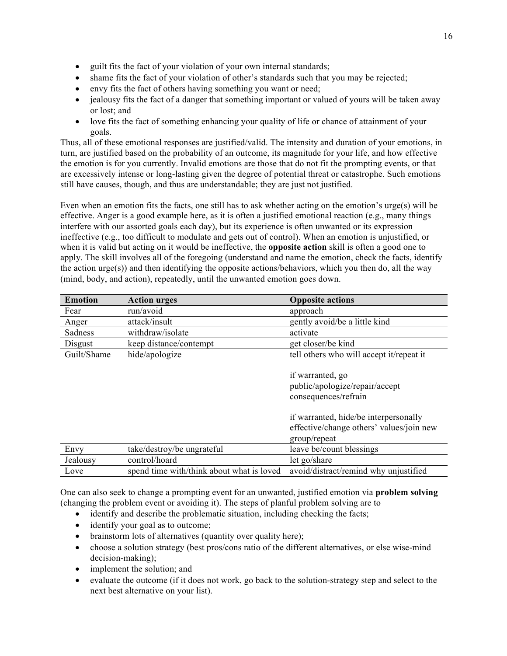- guilt fits the fact of your violation of your own internal standards;
- shame fits the fact of your violation of other's standards such that you may be rejected;
- envy fits the fact of others having something you want or need;
- jealousy fits the fact of a danger that something important or valued of yours will be taken away or lost; and
- love fits the fact of something enhancing your quality of life or chance of attainment of your goals.

Thus, all of these emotional responses are justified/valid. The intensity and duration of your emotions, in turn, are justified based on the probability of an outcome, its magnitude for your life, and how effective the emotion is for you currently. Invalid emotions are those that do not fit the prompting events, or that are excessively intense or long-lasting given the degree of potential threat or catastrophe. Such emotions still have causes, though, and thus are understandable; they are just not justified.

Even when an emotion fits the facts, one still has to ask whether acting on the emotion's urge(s) will be effective. Anger is a good example here, as it is often a justified emotional reaction (e.g., many things interfere with our assorted goals each day), but its experience is often unwanted or its expression ineffective (e.g., too difficult to modulate and gets out of control). When an emotion is unjustified, or when it is valid but acting on it would be ineffective, the **opposite action** skill is often a good one to apply. The skill involves all of the foregoing (understand and name the emotion, check the facts, identify the action urge(s)) and then identifying the opposite actions/behaviors, which you then do, all the way (mind, body, and action), repeatedly, until the unwanted emotion goes down.

| <b>Emotion</b> | <b>Action urges</b>                       | <b>Opposite actions</b>                                                                           |
|----------------|-------------------------------------------|---------------------------------------------------------------------------------------------------|
| Fear           | run/avoid                                 | approach                                                                                          |
| Anger          | attack/insult                             | gently avoid/be a little kind                                                                     |
| Sadness        | withdraw/isolate                          | activate                                                                                          |
| Disgust        | keep distance/contempt                    | get closer/be kind                                                                                |
| Guilt/Shame    | hide/apologize                            | tell others who will accept it/repeat it                                                          |
|                |                                           | if warranted, go<br>public/apologize/repair/accept<br>consequences/refrain                        |
|                |                                           | if warranted, hide/be interpersonally<br>effective/change others' values/join new<br>group/repeat |
| Envy           | take/destroy/be ungrateful                | leave be/count blessings                                                                          |
| Jealousy       | control/hoard                             | let go/share                                                                                      |
| Love           | spend time with/think about what is loved | avoid/distract/remind why unjustified                                                             |

One can also seek to change a prompting event for an unwanted, justified emotion via **problem solving** (changing the problem event or avoiding it). The steps of planful problem solving are to

- identify and describe the problematic situation, including checking the facts;
- identify your goal as to outcome;
- brainstorm lots of alternatives (quantity over quality here);
- choose a solution strategy (best pros/cons ratio of the different alternatives, or else wise-mind decision-making);
- implement the solution; and
- evaluate the outcome (if it does not work, go back to the solution-strategy step and select to the next best alternative on your list).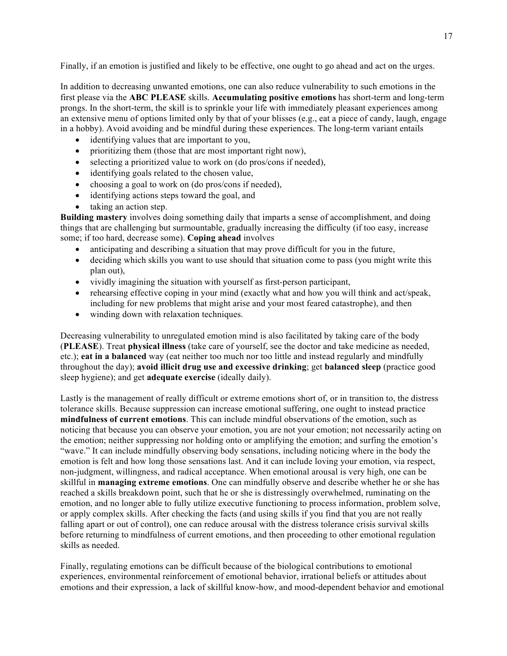Finally, if an emotion is justified and likely to be effective, one ought to go ahead and act on the urges.

In addition to decreasing unwanted emotions, one can also reduce vulnerability to such emotions in the first please via the **ABC PLEASE** skills. **Accumulating positive emotions** has short-term and long-term prongs. In the short-term, the skill is to sprinkle your life with immediately pleasant experiences among an extensive menu of options limited only by that of your blisses (e.g., eat a piece of candy, laugh, engage in a hobby). Avoid avoiding and be mindful during these experiences. The long-term variant entails

- identifying values that are important to you,
- prioritizing them (those that are most important right now),
- selecting a prioritized value to work on (do pros/cons if needed),
- identifying goals related to the chosen value,
- choosing a goal to work on (do pros/cons if needed),
- identifying actions steps toward the goal, and
- taking an action step.

**Building mastery** involves doing something daily that imparts a sense of accomplishment, and doing things that are challenging but surmountable, gradually increasing the difficulty (if too easy, increase some; if too hard, decrease some). **Coping ahead** involves

- anticipating and describing a situation that may prove difficult for you in the future,
- deciding which skills you want to use should that situation come to pass (you might write this plan out),
- vividly imagining the situation with yourself as first-person participant,
- rehearsing effective coping in your mind (exactly what and how you will think and act/speak, including for new problems that might arise and your most feared catastrophe), and then
- winding down with relaxation techniques.

Decreasing vulnerability to unregulated emotion mind is also facilitated by taking care of the body (**PLEASE**). Treat **physical illness** (take care of yourself, see the doctor and take medicine as needed, etc.); **eat in a balanced** way (eat neither too much nor too little and instead regularly and mindfully throughout the day); **avoid illicit drug use and excessive drinking**; get **balanced sleep** (practice good sleep hygiene); and get **adequate exercise** (ideally daily).

Lastly is the management of really difficult or extreme emotions short of, or in transition to, the distress tolerance skills. Because suppression can increase emotional suffering, one ought to instead practice **mindfulness of current emotions**. This can include mindful observations of the emotion, such as noticing that because you can observe your emotion, you are not your emotion; not necessarily acting on the emotion; neither suppressing nor holding onto or amplifying the emotion; and surfing the emotion's "wave." It can include mindfully observing body sensations, including noticing where in the body the emotion is felt and how long those sensations last. And it can include loving your emotion, via respect, non-judgment, willingness, and radical acceptance. When emotional arousal is very high, one can be skillful in **managing extreme emotions**. One can mindfully observe and describe whether he or she has reached a skills breakdown point, such that he or she is distressingly overwhelmed, ruminating on the emotion, and no longer able to fully utilize executive functioning to process information, problem solve, or apply complex skills. After checking the facts (and using skills if you find that you are not really falling apart or out of control), one can reduce arousal with the distress tolerance crisis survival skills before returning to mindfulness of current emotions, and then proceeding to other emotional regulation skills as needed.

Finally, regulating emotions can be difficult because of the biological contributions to emotional experiences, environmental reinforcement of emotional behavior, irrational beliefs or attitudes about emotions and their expression, a lack of skillful know-how, and mood-dependent behavior and emotional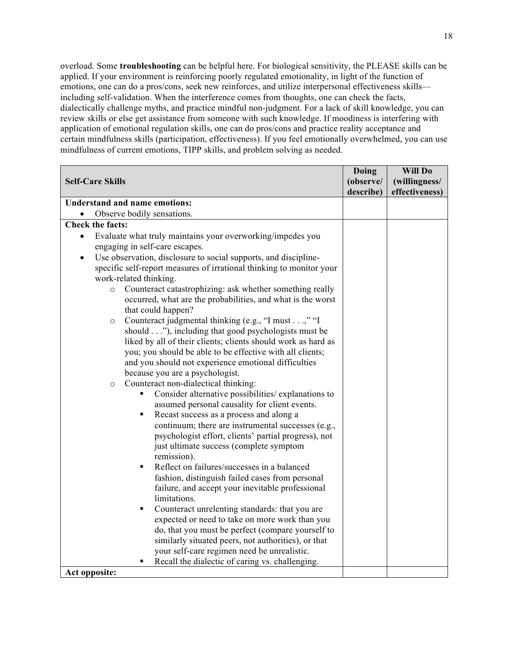overload. Some **troubleshooting** can be helpful here. For biological sensitivity, the PLEASE skills can be applied. If your environment is reinforcing poorly regulated emotionality, in light of the function of emotions, one can do a pros/cons, seek new reinforces, and utilize interpersonal effectiveness skills including self-validation. When the interference comes from thoughts, one can check the facts, dialectically challenge myths, and practice mindful non-judgment. For a lack of skill knowledge, you can review skills or else get assistance from someone with such knowledge. If moodiness is interfering with application of emotional regulation skills, one can do pros/cons and practice reality acceptance and certain mindfulness skills (participation, effectiveness). If you feel emotionally overwhelmed, you can use mindfulness of current emotions, TIPP skills, and problem solving as needed.

|                                                                              | Doing     | Will Do        |
|------------------------------------------------------------------------------|-----------|----------------|
| <b>Self-Care Skills</b>                                                      | (observe/ | (willingness/  |
|                                                                              | describe) | effectiveness) |
| <b>Understand and name emotions:</b>                                         |           |                |
| Observe bodily sensations.                                                   |           |                |
| <b>Check the facts:</b>                                                      |           |                |
| Evaluate what truly maintains your overworking/impedes you<br>$\bullet$      |           |                |
| engaging in self-care escapes.                                               |           |                |
| Use observation, disclosure to social supports, and discipline-<br>$\bullet$ |           |                |
| specific self-report measures of irrational thinking to monitor your         |           |                |
| work-related thinking.                                                       |           |                |
| Counteract catastrophizing: ask whether something really<br>$\circ$          |           |                |
| occurred, what are the probabilities, and what is the worst                  |           |                |
| that could happen?                                                           |           |                |
| Counteract judgmental thinking (e.g., "I must," "I<br>$\circ$                |           |                |
| should"), including that good psychologists must be                          |           |                |
| liked by all of their clients; clients should work as hard as                |           |                |
| you; you should be able to be effective with all clients;                    |           |                |
| and you should not experience emotional difficulties                         |           |                |
| because you are a psychologist.                                              |           |                |
| Counteract non-dialectical thinking:<br>$\circ$                              |           |                |
| Consider alternative possibilities/ explanations to                          |           |                |
| assumed personal causality for client events.                                |           |                |
| Recast success as a process and along a<br>٠                                 |           |                |
| continuum; there are instrumental successes (e.g.,                           |           |                |
| psychologist effort, clients' partial progress), not                         |           |                |
| just ultimate success (complete symptom                                      |           |                |
| remission).                                                                  |           |                |
| Reflect on failures/successes in a balanced<br>٠                             |           |                |
| fashion, distinguish failed cases from personal                              |           |                |
| failure, and accept your inevitable professional<br>limitations.             |           |                |
| Counteract unrelenting standards: that you are<br>٠                          |           |                |
| expected or need to take on more work than you                               |           |                |
| do, that you must be perfect (compare yourself to                            |           |                |
| similarly situated peers, not authorities), or that                          |           |                |
| your self-care regimen need be unrealistic.                                  |           |                |
| Recall the dialectic of caring vs. challenging.                              |           |                |
| Act opposite:                                                                |           |                |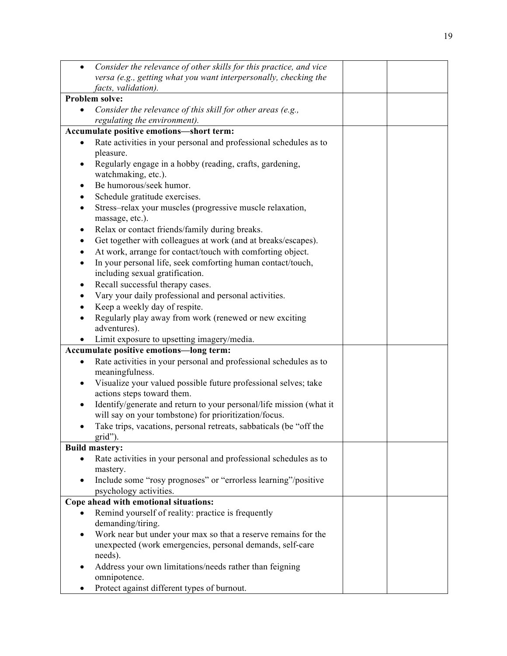| $\bullet$ | Consider the relevance of other skills for this practice, and vice            |  |
|-----------|-------------------------------------------------------------------------------|--|
|           | versa (e.g., getting what you want interpersonally, checking the              |  |
|           | facts, validation).                                                           |  |
|           | Problem solve:                                                                |  |
| $\bullet$ | Consider the relevance of this skill for other areas (e.g.,                   |  |
|           | regulating the environment).                                                  |  |
|           | Accumulate positive emotions-short term:                                      |  |
| ٠         | Rate activities in your personal and professional schedules as to             |  |
|           | pleasure.                                                                     |  |
|           | Regularly engage in a hobby (reading, crafts, gardening,                      |  |
|           | watchmaking, etc.).                                                           |  |
|           | Be humorous/seek humor.                                                       |  |
|           | Schedule gratitude exercises.                                                 |  |
|           | Stress-relax your muscles (progressive muscle relaxation,<br>massage, etc.).  |  |
|           | Relax or contact friends/family during breaks.                                |  |
|           | Get together with colleagues at work (and at breaks/escapes).                 |  |
|           | At work, arrange for contact/touch with comforting object.                    |  |
|           | In your personal life, seek comforting human contact/touch,                   |  |
|           | including sexual gratification.                                               |  |
|           | Recall successful therapy cases.                                              |  |
|           | Vary your daily professional and personal activities.                         |  |
|           | Keep a weekly day of respite.                                                 |  |
|           | Regularly play away from work (renewed or new exciting                        |  |
|           | adventures).                                                                  |  |
|           | Limit exposure to upsetting imagery/media.                                    |  |
|           | Accumulate positive emotions-long term:                                       |  |
| $\bullet$ | Rate activities in your personal and professional schedules as to             |  |
|           | meaningfulness.                                                               |  |
| $\bullet$ | Visualize your valued possible future professional selves; take               |  |
|           | actions steps toward them.                                                    |  |
| $\bullet$ | Identify/generate and return to your personal/life mission (what it           |  |
|           | will say on your tombstone) for prioritization/focus.                         |  |
| $\bullet$ | Take trips, vacations, personal retreats, sabbaticals (be "off the<br>grid"). |  |
|           | <b>Build mastery:</b>                                                         |  |
|           | Rate activities in your personal and professional schedules as to             |  |
|           | mastery.                                                                      |  |
| $\bullet$ | Include some "rosy prognoses" or "errorless learning"/positive                |  |
|           | psychology activities.                                                        |  |
|           | Cope ahead with emotional situations:                                         |  |
|           | Remind yourself of reality: practice is frequently                            |  |
|           | demanding/tiring.                                                             |  |
| $\bullet$ | Work near but under your max so that a reserve remains for the                |  |
|           | unexpected (work emergencies, personal demands, self-care                     |  |
|           | needs).                                                                       |  |
| $\bullet$ | Address your own limitations/needs rather than feigning<br>omnipotence.       |  |
|           | Protect against different types of burnout.                                   |  |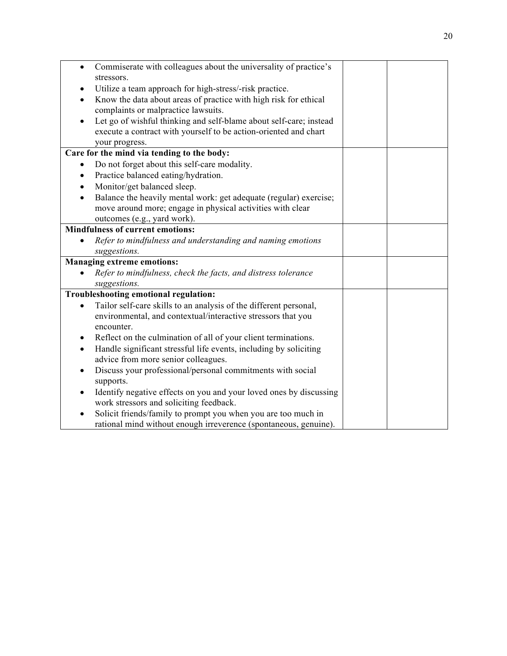| $\bullet$                                  | Commiserate with colleagues about the universality of practice's                                              |  |  |
|--------------------------------------------|---------------------------------------------------------------------------------------------------------------|--|--|
|                                            | stressors.                                                                                                    |  |  |
|                                            | Utilize a team approach for high-stress/-risk practice.                                                       |  |  |
| $\bullet$                                  | Know the data about areas of practice with high risk for ethical<br>complaints or malpractice lawsuits.       |  |  |
|                                            | Let go of wishful thinking and self-blame about self-care; instead                                            |  |  |
|                                            | execute a contract with yourself to be action-oriented and chart                                              |  |  |
|                                            | your progress.                                                                                                |  |  |
| Care for the mind via tending to the body: |                                                                                                               |  |  |
| ٠                                          | Do not forget about this self-care modality.                                                                  |  |  |
| $\bullet$                                  | Practice balanced eating/hydration.                                                                           |  |  |
|                                            | Monitor/get balanced sleep.                                                                                   |  |  |
|                                            | Balance the heavily mental work: get adequate (regular) exercise;                                             |  |  |
|                                            | move around more; engage in physical activities with clear                                                    |  |  |
|                                            | outcomes (e.g., yard work).                                                                                   |  |  |
| <b>Mindfulness of current emotions:</b>    |                                                                                                               |  |  |
|                                            | Refer to mindfulness and understanding and naming emotions                                                    |  |  |
|                                            | suggestions.                                                                                                  |  |  |
| <b>Managing extreme emotions:</b>          |                                                                                                               |  |  |
|                                            | Refer to mindfulness, check the facts, and distress tolerance                                                 |  |  |
|                                            | suggestions.                                                                                                  |  |  |
| Troubleshooting emotional regulation:      |                                                                                                               |  |  |
| $\bullet$                                  | Tailor self-care skills to an analysis of the different personal,                                             |  |  |
|                                            | environmental, and contextual/interactive stressors that you                                                  |  |  |
|                                            | encounter.                                                                                                    |  |  |
| ٠                                          | Reflect on the culmination of all of your client terminations.                                                |  |  |
| $\bullet$                                  | Handle significant stressful life events, including by soliciting                                             |  |  |
|                                            | advice from more senior colleagues.                                                                           |  |  |
| $\bullet$                                  | Discuss your professional/personal commitments with social                                                    |  |  |
|                                            | supports.                                                                                                     |  |  |
| $\bullet$                                  | Identify negative effects on you and your loved ones by discussing<br>work stressors and soliciting feedback. |  |  |
| $\bullet$                                  | Solicit friends/family to prompt you when you are too much in                                                 |  |  |
|                                            | rational mind without enough irreverence (spontaneous, genuine).                                              |  |  |